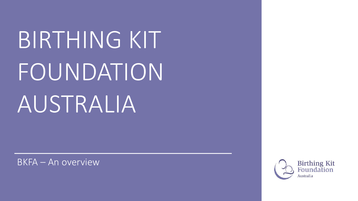BIRTHING KIT FOUNDATION AUSTRALIA

BKFA – An overview

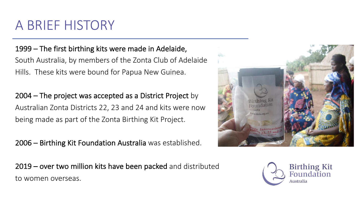#### A BRIEF HISTORY

1999 – The first birthing kits were made in Adelaide, South Australia, by members of the Zonta Club of Adelaide Hills. These kits were bound for Papua New Guinea.

2004 – The project was accepted as a District Project by Australian Zonta Districts 22, 23 and 24 and kits were now being made as part of the Zonta Birthing Kit Project.

2006 – Birthing Kit Foundation Australia was established.

2019 – over two million kits have been packed and distributed to women overseas.



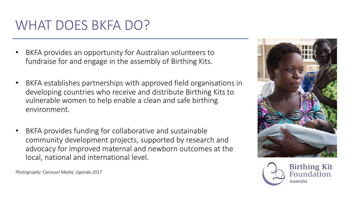# WHAT DOES BKFA DO?

- BKFA provides an opportunity for Australian volunteers to fundraise for and engage in the assembly of Birthing Kits.
- BKFA establishes partnerships with approved field organisations in developing countries who receive and distribute Birthing Kits to vulnerable women to help enable a clean and safe birthing environment.
- BKFA provides funding for collaborative and sustainable community development projects, supported by research and advocacy for improved maternal and newborn outcomes at the local, national and international level.





*Photography: Carousel Media, Uganda 2017*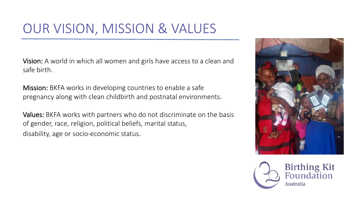# OUR VISION, MISSION & VALUES

Vision: A world in which all women and girls have access to a clean and safe birth.

Mission: BKFA works in developing countries to enable a safe pregnancy along with clean childbirth and postnatal environments.

Values: BKFA works with partners who do not discriminate on the basis of gender, race, religion, political beliefs, marital status, disability, age or socio-economic status.



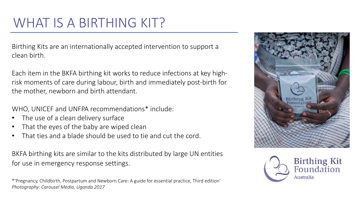# WHAT IS A BIRTHING KIT?

Birthing Kits are an internationally accepted intervention to support a clean birth.

Each item in the BKFA birthing kit works to reduce infections at key highrisk moments of care during labour, birth and immediately post-birth for the mother, newborn and birth attendant.

WHO, UNICEF and UNFPA recommendations\* include:

- The use of a clean delivery surface
- That the eyes of the baby are wiped clean
- That ties and a blade should be used to tie and cut the cord.

BKFA birthing kits are similar to the kits distributed by large UN entities for use in emergency response settings.

\*'Pregnancy, Childbirth, Postpartum and Newborn Care: A guide for essential practice, Third edition' *Photography: Carousel Media, Uganda 2017*



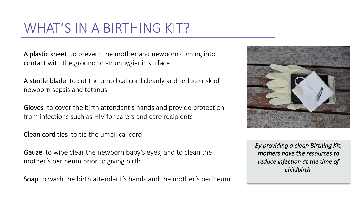# WHAT'S IN A BIRTHING KIT?

A plastic sheet to prevent the mother and newborn coming into contact with the ground or an unhygienic surface

A sterile blade to cut the umbilical cord cleanly and reduce risk of newborn sepsis and tetanus

Gloves to cover the birth attendant's hands and provide protection from infections such as HIV for carers and care recipients

Clean cord ties to tie the umbilical cord

Gauze to wipe clear the newborn baby's eyes, and to clean the mother's perineum prior to giving birth

Soap to wash the birth attendant's hands and the mother's perineum



*By providing a clean Birthing Kit, mothers have the resources to reduce infection at the time of childbirth*.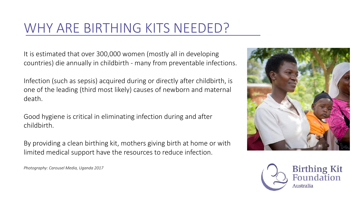# WHY ARE BIRTHING KITS NEEDED?

It is estimated that over 300,000 women (mostly all in developing countries) die annually in childbirth - many from preventable infections.

Infection (such as sepsis) acquired during or directly after childbirth, is one of the leading (third most likely) causes of newborn and maternal death.

Good hygiene is critical in eliminating infection during and after childbirth.

By providing a clean birthing kit, mothers giving birth at home or with limited medical support have the resources to reduce infection.

*Photography: Carousel Media, Uganda 2017*



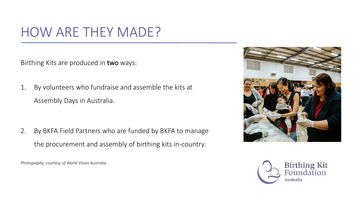# HOW ARE THEY MADE?

Birthing Kits are produced in two ways:

1. By volunteers who fundraise and assemble the kits at Assembly Days in Australia.

2. By BKFA Field Partners who are funded by BKFA to manage the procurement and assembly of birthing kits in-country.

*Photography: courtesy of World Vision Australia*



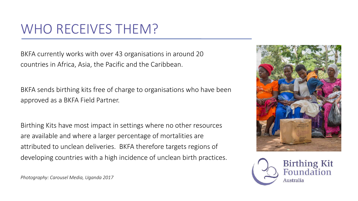# WHO RECEIVES THEM?

BKFA currently works with over 43 organisations in around 20 countries in Africa, Asia, the Pacific and the Caribbean.

BKFA sends birthing kits free of charge to organisations who have been approved as a BKFA Field Partner.

Birthing Kits have most impact in settings where no other resources are available and where a larger percentage of mortalities are attributed to unclean deliveries. BKFA therefore targets regions of developing countries with a high incidence of unclean birth practices.





*Photography: Carousel Media, Uganda 2017*